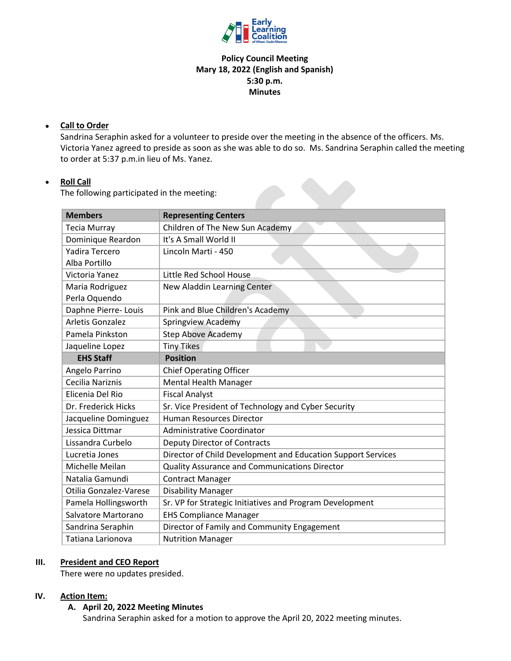

## **Policy Council Meeting Mary 18, 2022 (English and Spanish) 5:30 p.m. Minutes**

### • **Call to Order**

Sandrina Seraphin asked for a volunteer to preside over the meeting in the absence of the officers. Ms. Victoria Yanez agreed to preside as soon as she was able to do so. Ms. Sandrina Seraphin called the meeting to order at 5:37 p.m.in lieu of Ms. Yanez.

### • **Roll Call**

The following participated in the meeting:

| <b>Members</b>          | <b>Representing Centers</b>                                  |
|-------------------------|--------------------------------------------------------------|
|                         |                                                              |
| <b>Tecia Murray</b>     | Children of The New Sun Academy                              |
| Dominique Reardon       | It's A Small World II                                        |
| Yadira Tercero          | Lincoln Marti - 450                                          |
| Alba Portillo           |                                                              |
| Victoria Yanez          | Little Red School House                                      |
| Maria Rodriguez         | New Aladdin Learning Center                                  |
| Perla Oquendo           |                                                              |
| Daphne Pierre-Louis     | Pink and Blue Children's Academy                             |
| <b>Arletis Gonzalez</b> | Springview Academy                                           |
| Pamela Pinkston         | <b>Step Above Academy</b>                                    |
| Jaqueline Lopez         | <b>Tiny Tikes</b>                                            |
| <b>EHS Staff</b>        | <b>Position</b>                                              |
| Angelo Parrino          | <b>Chief Operating Officer</b>                               |
| Cecilia Nariznis        | <b>Mental Health Manager</b>                                 |
| Elicenia Del Rio        | <b>Fiscal Analyst</b>                                        |
| Dr. Frederick Hicks     | Sr. Vice President of Technology and Cyber Security          |
| Jacqueline Dominguez    | <b>Human Resources Director</b>                              |
| Jessica Dittmar         | Administrative Coordinator                                   |
| Lissandra Curbelo       | <b>Deputy Director of Contracts</b>                          |
| Lucretia Jones          | Director of Child Development and Education Support Services |
| Michelle Meilan         | Quality Assurance and Communications Director                |
| Natalia Gamundi         | <b>Contract Manager</b>                                      |
| Otilia Gonzalez-Varese  | <b>Disability Manager</b>                                    |
| Pamela Hollingsworth    | Sr. VP for Strategic Initiatives and Program Development     |
| Salvatore Martorano     | <b>EHS Compliance Manager</b>                                |
| Sandrina Seraphin       | Director of Family and Community Engagement                  |
| Tatiana Larionova       | <b>Nutrition Manager</b>                                     |

#### **III. President and CEO Report**

There were no updates presided.

### **IV. Action Item:**

#### **A. April 20, 2022 Meeting Minutes**

Sandrina Seraphin asked for a motion to approve the April 20, 2022 meeting minutes.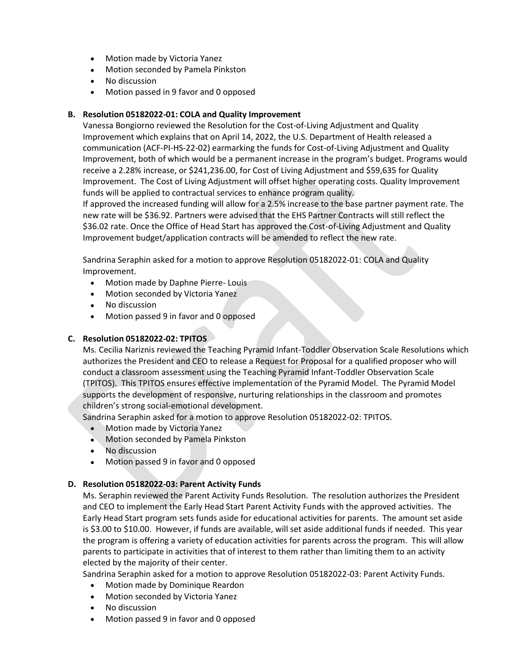- Motion made by Victoria Yanez
- Motion seconded by Pamela Pinkston
- No discussion
- Motion passed in 9 favor and 0 opposed

### **B. Resolution 05182022-01: COLA and Quality Improvement**

Vanessa Bongiorno reviewed the Resolution for the Cost-of-Living Adjustment and Quality Improvement which explains that on April 14, 2022, the U.S. Department of Health released a communication (ACF-PI-HS-22-02) earmarking the funds for Cost-of-Living Adjustment and Quality Improvement, both of which would be a permanent increase in the program's budget. Programs would receive a 2.28% increase, or \$241,236.00, for Cost of Living Adjustment and \$59,635 for Quality Improvement. The Cost of Living Adjustment will offset higher operating costs. Quality Improvement funds will be applied to contractual services to enhance program quality.

If approved the increased funding will allow for a 2.5% increase to the base partner payment rate. The new rate will be \$36.92. Partners were advised that the EHS Partner Contracts will still reflect the \$36.02 rate. Once the Office of Head Start has approved the Cost-of-Living Adjustment and Quality Improvement budget/application contracts will be amended to reflect the new rate.

Sandrina Seraphin asked for a motion to approve Resolution 05182022-01: COLA and Quality Improvement.

- Motion made by Daphne Pierre-Louis
- Motion seconded by Victoria Yanez
- No discussion
- Motion passed 9 in favor and 0 opposed

#### **C. Resolution 05182022-02: TPITOS**

Ms. Cecilia Nariznis reviewed the Teaching Pyramid Infant-Toddler Observation Scale Resolutions which authorizes the President and CEO to release a Request for Proposal for a qualified proposer who will conduct a classroom assessment using the Teaching Pyramid Infant-Toddler Observation Scale (TPITOS). This TPITOS ensures effective implementation of the Pyramid Model. The Pyramid Model supports the development of responsive, nurturing relationships in the classroom and promotes children's strong social-emotional development.

Sandrina Seraphin asked for a motion to approve Resolution 05182022-02: TPITOS.

- Motion made by Victoria Yanez
- Motion seconded by Pamela Pinkston
- No discussion
- Motion passed 9 in favor and 0 opposed

#### **D. Resolution 05182022-03: Parent Activity Funds**

Ms. Seraphin reviewed the Parent Activity Funds Resolution. The resolution authorizes the President and CEO to implement the Early Head Start Parent Activity Funds with the approved activities. The Early Head Start program sets funds aside for educational activities for parents. The amount set aside is \$3.00 to \$10.00. However, if funds are available, will set aside additional funds if needed. This year the program is offering a variety of education activities for parents across the program. This will allow parents to participate in activities that of interest to them rather than limiting them to an activity elected by the majority of their center.

Sandrina Seraphin asked for a motion to approve Resolution 05182022-03: Parent Activity Funds.

- Motion made by Dominique Reardon
- Motion seconded by Victoria Yanez
- No discussion
- Motion passed 9 in favor and 0 opposed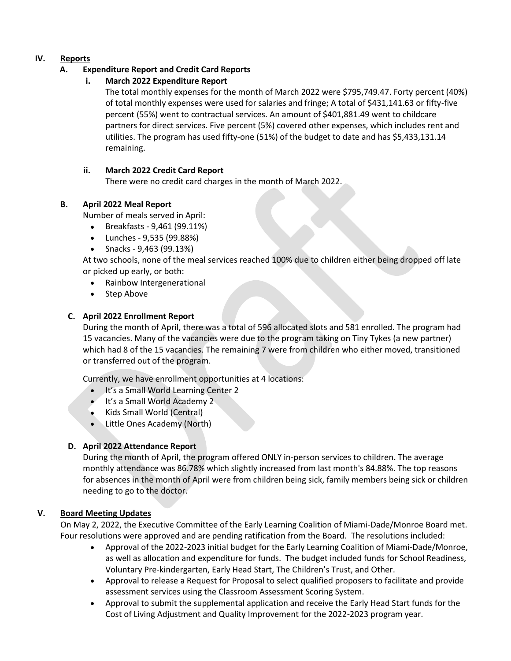# **IV. Reports**

# **A. Expenditure Report and Credit Card Reports**

# **i. March 2022 Expenditure Report**

The total monthly expenses for the month of March 2022 were \$795,749.47. Forty percent (40%) of total monthly expenses were used for salaries and fringe; A total of \$431,141.63 or fifty-five percent (55%) went to contractual services. An amount of \$401,881.49 went to childcare partners for direct services. Five percent (5%) covered other expenses, which includes rent and utilities. The program has used fifty-one (51%) of the budget to date and has \$5,433,131.14 remaining.

## **ii. March 2022 Credit Card Report**

There were no credit card charges in the month of March 2022.

# **B. April 2022 Meal Report**

Number of meals served in April:

- Breakfasts 9,461 (99.11%)
- Lunches 9,535 (99.88%)
- Snacks 9,463 (99.13%)

At two schools, none of the meal services reached 100% due to children either being dropped off late or picked up early, or both:

- Rainbow Intergenerational
- Step Above

# **C. April 2022 Enrollment Report**

During the month of April, there was a total of 596 allocated slots and 581 enrolled. The program had 15 vacancies. Many of the vacancies were due to the program taking on Tiny Tykes (a new partner) which had 8 of the 15 vacancies. The remaining 7 were from children who either moved, transitioned or transferred out of the program.

Currently, we have enrollment opportunities at 4 locations:

- It's a Small World Learning Center 2
- It's a Small World Academy 2
- Kids Small World (Central)
- Little Ones Academy (North)

## **D. April 2022 Attendance Report**

During the month of April, the program offered ONLY in-person services to children. The average monthly attendance was 86.78% which slightly increased from last month's 84.88%. The top reasons for absences in the month of April were from children being sick, family members being sick or children needing to go to the doctor.

## **V. Board Meeting Updates**

On May 2, 2022, the Executive Committee of the Early Learning Coalition of Miami-Dade/Monroe Board met. Four resolutions were approved and are pending ratification from the Board. The resolutions included:

- Approval of the 2022-2023 initial budget for the Early Learning Coalition of Miami-Dade/Monroe, as well as allocation and expenditure for funds. The budget included funds for School Readiness, Voluntary Pre-kindergarten, Early Head Start, The Children's Trust, and Other.
- Approval to release a Request for Proposal to select qualified proposers to facilitate and provide assessment services using the Classroom Assessment Scoring System.
- Approval to submit the supplemental application and receive the Early Head Start funds for the Cost of Living Adjustment and Quality Improvement for the 2022-2023 program year.